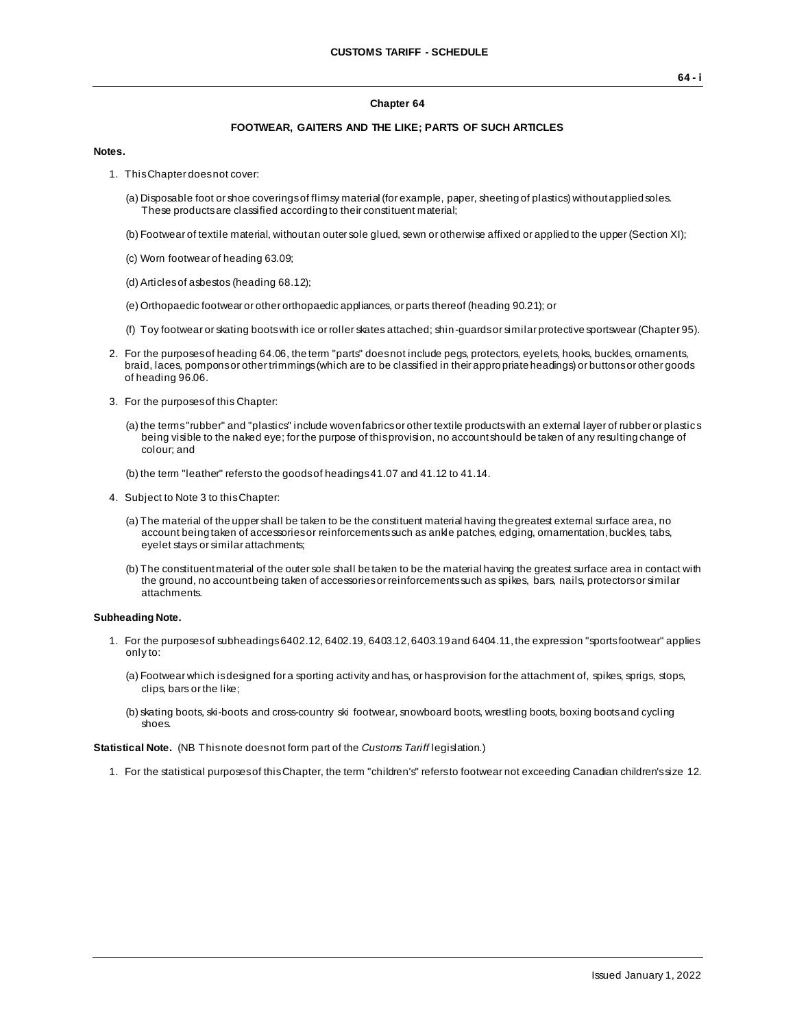#### **Chapter 64**

### **FOOTWEAR, GAITERS AND THE LIKE; PARTS OF SUCH ARTICLES**

#### **Notes.**

- 1. This Chapter does not cover:
	- (a) Disposable foot or shoe coverings of flimsy material (for example, paper, sheeting of plastics) without applied soles. These products are classified according to their constituent material;
	- (b) Footwear of textile material, without an outer sole glued, sewn or otherwise affixed or applied to the upper (Section XI);
	- (c) Worn footwear of heading 63.09;
	- (d) Articles of asbestos (heading 68.12);
	- (e) Orthopaedic footwear or other orthopaedic appliances, or parts thereof (heading 90.21); or
	- (f) Toy footwear or skating boots with ice or roller skates attached; shin-guards or similar protective sportswear (Chapter 95).
- 2. For the purposes of heading 64.06, the term "parts" does not include pegs, protectors, eyelets, hooks, buckles, ornaments, braid, laces, pompons or other trimmings (which are to be classified in their appropriate headings) or buttons or other goods of heading 96.06.
- 3. For the purposes of this Chapter:
	- (a) the terms "rubber" and "plastics" include woven fabrics or other textile products with an external layer of rubber or plastic s being visible to the naked eye; for the purpose of this provision, no account should be taken of any resulting change of colour; and
	- (b) the term "leather" refers to the goods of headings 41.07 and 41.12 to 41.14.
- 4. Subject to Note 3 to this Chapter:
	- (a) The material of the upper shall be taken to be the constituent material having the greatest external surface area, no account being taken of accessories or reinforcements such as ankle patches, edging, ornamentation, buckles, tabs, eyelet stays or similar attachments;
	- (b) The constituent material of the outer sole shall be taken to be the material having the greatest surface area in contact with the ground, no account being taken of accessories or reinforcements such as spikes, bars, nails, protectors or similar attachments.

#### **Subheading Note.**

- 1. For the purposesof subheadings 6402.12, 6402.19, 6403.12, 6403.19 and 6404.11, the expression "sports footwear" applies only to:
	- (a) Footwear which is designed for a sporting activity and has, or has provision for the attachment of, spikes, sprigs, stops, clips, bars or the like;
	- (b) skating boots, ski-boots and cross-country ski footwear, snowboard boots, wrestling boots, boxing boots and cycling shoes.

**Statistical Note.** (NB This note does not form part of the *Customs Tariff* legislation.)

1. For the statistical purposes of this Chapter, the term "children's" refers to footwear not exceeding Canadian children's size 12.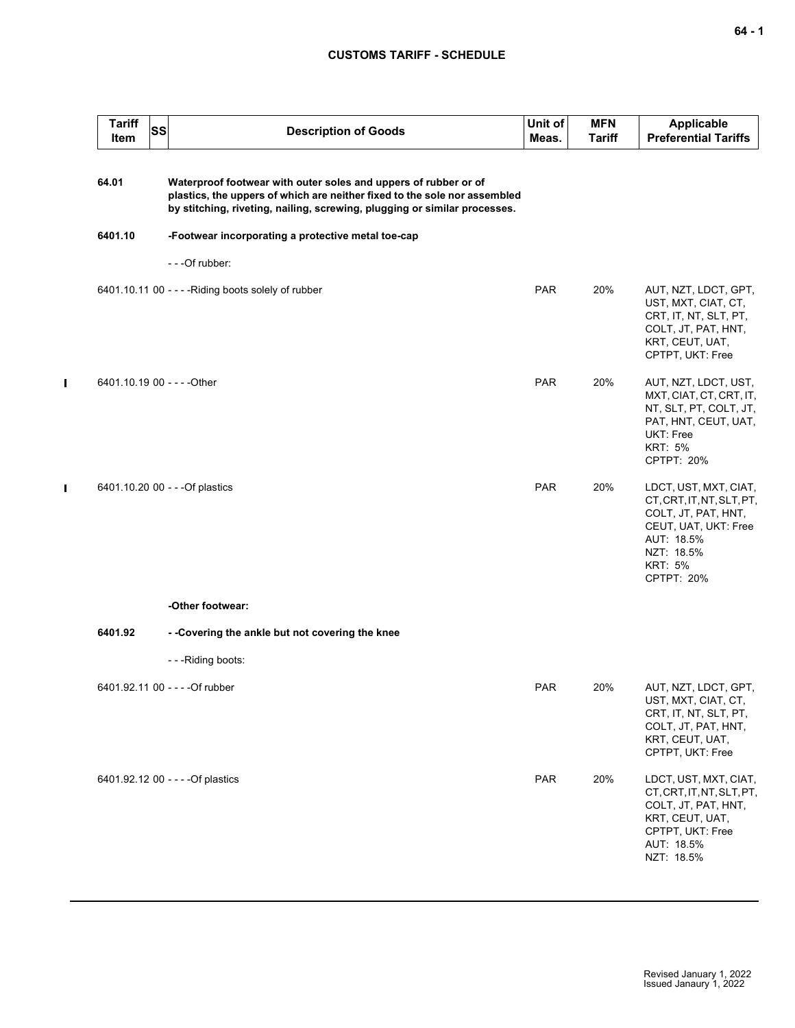### **CUSTOMS TARIFF - SCHEDULE**

| <b>Tariff</b><br>Item | SS | <b>Description of Goods</b>                                                                                                                                                                                               | Unit of<br>Meas. | <b>MFN</b><br>Tariff | <b>Applicable</b><br><b>Preferential Tariffs</b>                                                                                                              |
|-----------------------|----|---------------------------------------------------------------------------------------------------------------------------------------------------------------------------------------------------------------------------|------------------|----------------------|---------------------------------------------------------------------------------------------------------------------------------------------------------------|
| 64.01                 |    | Waterproof footwear with outer soles and uppers of rubber or of<br>plastics, the uppers of which are neither fixed to the sole nor assembled<br>by stitching, riveting, nailing, screwing, plugging or similar processes. |                  |                      |                                                                                                                                                               |
| 6401.10               |    | -Footwear incorporating a protective metal toe-cap                                                                                                                                                                        |                  |                      |                                                                                                                                                               |
|                       |    | - - - Of rubber:                                                                                                                                                                                                          |                  |                      |                                                                                                                                                               |
|                       |    | 6401.10.11 00 - - - - Riding boots solely of rubber                                                                                                                                                                       | <b>PAR</b>       | 20%                  | AUT, NZT, LDCT, GPT,<br>UST, MXT, CIAT, CT,<br>CRT, IT, NT, SLT, PT,<br>COLT, JT, PAT, HNT,<br>KRT, CEUT, UAT,<br>CPTPT, UKT: Free                            |
|                       |    | 6401.10.19 00 - - - - Other                                                                                                                                                                                               | PAR              | 20%                  | AUT, NZT, LDCT, UST,<br>MXT, CIAT, CT, CRT, IT,<br>NT, SLT, PT, COLT, JT,<br>PAT, HNT, CEUT, UAT,<br>UKT: Free<br><b>KRT: 5%</b><br>CPTPT: 20%                |
|                       |    | 6401.10.20 00 - - - Of plastics                                                                                                                                                                                           | <b>PAR</b>       | 20%                  | LDCT, UST, MXT, CIAT,<br>CT, CRT, IT, NT, SLT, PT,<br>COLT, JT, PAT, HNT,<br>CEUT, UAT, UKT: Free<br>AUT: 18.5%<br>NZT: 18.5%<br><b>KRT: 5%</b><br>CPTPT: 20% |
|                       |    | -Other footwear:                                                                                                                                                                                                          |                  |                      |                                                                                                                                                               |
| 6401.92               |    | - -Covering the ankle but not covering the knee                                                                                                                                                                           |                  |                      |                                                                                                                                                               |
|                       |    | - - - Riding boots:                                                                                                                                                                                                       |                  |                      |                                                                                                                                                               |
|                       |    | 6401.92.11 00 - - - - Of rubber                                                                                                                                                                                           | <b>PAR</b>       | 20%                  | AUT, NZT, LDCT, GPT,<br>UST, MXT, CIAT, CT,<br>CRT, IT, NT, SLT, PT,<br>COLT, JT, PAT, HNT,<br>KRT, CEUT, UAT,<br>CPTPT, UKT: Free                            |
|                       |    | 6401.92.12 00 - - - - Of plastics                                                                                                                                                                                         | PAR              | 20%                  | LDCT, UST, MXT, CIAT,<br>CT, CRT, IT, NT, SLT, PT,<br>COLT, JT, PAT, HNT,<br>KRT, CEUT, UAT,<br>CPTPT, UKT: Free<br>AUT: 18.5%<br>NZT: 18.5%                  |

 $\mathbf{I}$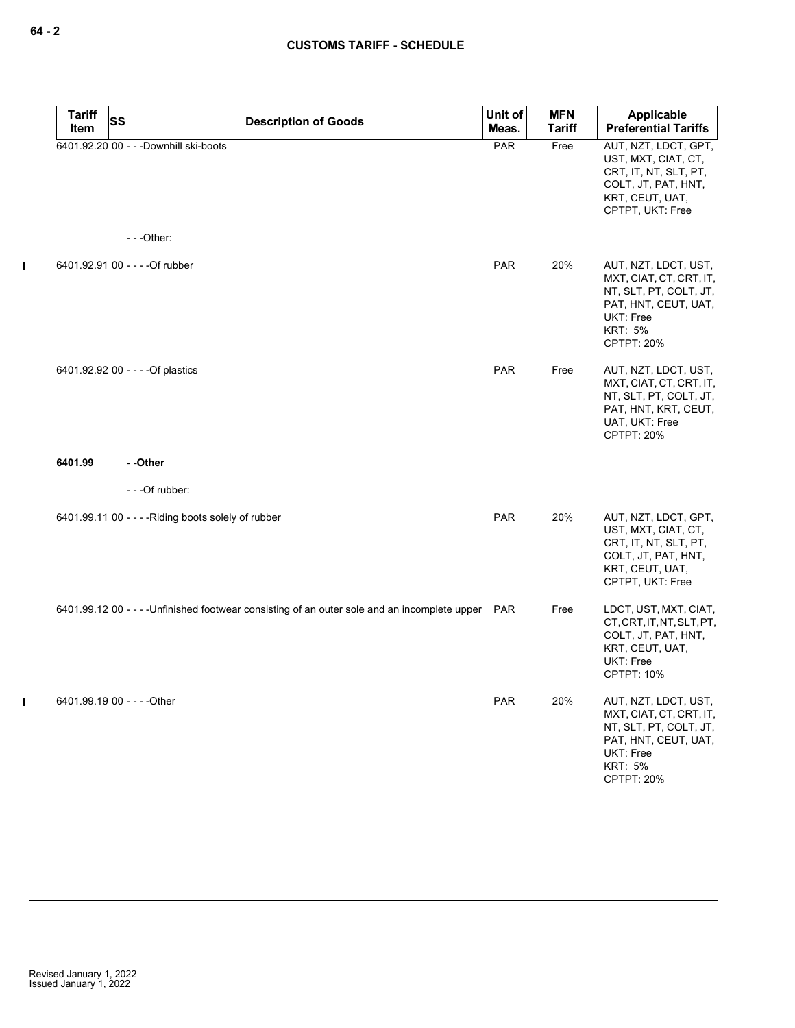| <b>Tariff</b><br>Item       | <b>SS</b> | <b>Description of Goods</b>                                                                       | Unit of<br>Meas. | <b>MFN</b><br><b>Tariff</b> | Applicable<br><b>Preferential Tariffs</b>                                                                                                                    |
|-----------------------------|-----------|---------------------------------------------------------------------------------------------------|------------------|-----------------------------|--------------------------------------------------------------------------------------------------------------------------------------------------------------|
|                             |           | 6401.92.20 00 - - - Downhill ski-boots                                                            | <b>PAR</b>       | Free                        | AUT, NZT, LDCT, GPT,<br>UST, MXT, CIAT, CT,<br>CRT, IT, NT, SLT, PT,<br>COLT, JT, PAT, HNT,<br>KRT, CEUT, UAT,<br>CPTPT, UKT: Free                           |
|                             |           | $- -$ Other:                                                                                      |                  |                             |                                                                                                                                                              |
|                             |           | 6401.92.91 00 - - - - Of rubber                                                                   | <b>PAR</b>       | 20%                         | AUT, NZT, LDCT, UST,<br>MXT, CIAT, CT, CRT, IT,<br>NT, SLT, PT, COLT, JT,<br>PAT, HNT, CEUT, UAT,<br><b>UKT: Free</b><br><b>KRT: 5%</b><br><b>CPTPT: 20%</b> |
|                             |           | 6401.92.92 00 - - - - Of plastics                                                                 | <b>PAR</b>       | Free                        | AUT, NZT, LDCT, UST,<br>MXT, CIAT, CT, CRT, IT,<br>NT, SLT, PT, COLT, JT,<br>PAT, HNT, KRT, CEUT,<br>UAT, UKT: Free<br>CPTPT: 20%                            |
| 6401.99                     |           | --Other                                                                                           |                  |                             |                                                                                                                                                              |
|                             |           | - - - Of rubber:                                                                                  |                  |                             |                                                                                                                                                              |
|                             |           | 6401.99.11 00 - - - - Riding boots solely of rubber                                               | PAR              | 20%                         | AUT, NZT, LDCT, GPT,<br>UST, MXT, CIAT, CT,<br>CRT, IT, NT, SLT, PT,<br>COLT, JT, PAT, HNT,<br>KRT, CEUT, UAT,<br>CPTPT, UKT: Free                           |
|                             |           | 6401.99.12 00 - - - - Unfinished footwear consisting of an outer sole and an incomplete upper PAR |                  | Free                        | LDCT, UST, MXT, CIAT,<br>CT, CRT, IT, NT, SLT, PT,<br>COLT, JT, PAT, HNT,<br>KRT, CEUT, UAT,<br><b>UKT: Free</b><br>CPTPT: 10%                               |
| 6401.99.19 00 - - - - Other |           |                                                                                                   | <b>PAR</b>       | 20%                         | AUT, NZT, LDCT, UST,<br>MXT, CIAT, CT, CRT, IT,<br>NT, SLT, PT, COLT, JT,<br>PAT, HNT, CEUT, UAT,<br>UKT: Free<br><b>KRT: 5%</b><br><b>CPTPT: 20%</b>        |

 $\mathbf I$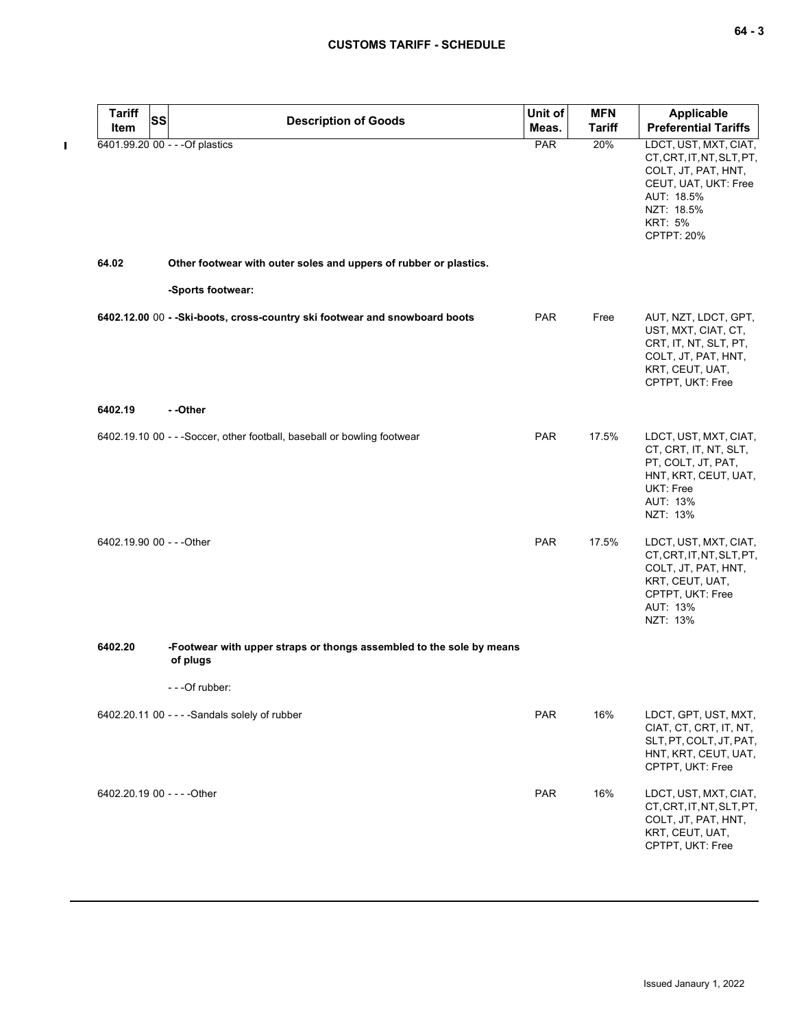| <b>Tariff</b> | <b>SS</b><br><b>Description of Goods</b>                                         | Unit of    | <b>MFN</b>    | Applicable                                                                                                                                                    |
|---------------|----------------------------------------------------------------------------------|------------|---------------|---------------------------------------------------------------------------------------------------------------------------------------------------------------|
| Item          |                                                                                  | Meas.      | <b>Tariff</b> | <b>Preferential Tariffs</b>                                                                                                                                   |
|               | 6401.99.20 00 - - - Of plastics                                                  | PAR        | 20%           | LDCT, UST, MXT, CIAT,<br>CT, CRT, IT, NT, SLT, PT,<br>COLT, JT, PAT, HNT,<br>CEUT, UAT, UKT: Free<br>AUT: 18.5%<br>NZT: 18.5%<br><b>KRT: 5%</b><br>CPTPT: 20% |
| 64.02         | Other footwear with outer soles and uppers of rubber or plastics.                |            |               |                                                                                                                                                               |
|               | -Sports footwear:                                                                |            |               |                                                                                                                                                               |
|               | 6402.12.00 00 - - Ski-boots, cross-country ski footwear and snowboard boots      | <b>PAR</b> | Free          | AUT, NZT, LDCT, GPT,<br>UST, MXT, CIAT, CT,<br>CRT, IT, NT, SLT, PT,<br>COLT, JT, PAT, HNT,<br>KRT, CEUT, UAT,<br>CPTPT, UKT: Free                            |
| 6402.19       | - -Other                                                                         |            |               |                                                                                                                                                               |
|               | 6402.19.10 00 - - - Soccer, other football, baseball or bowling footwear         | <b>PAR</b> | 17.5%         | LDCT, UST, MXT, CIAT,<br>CT, CRT, IT, NT, SLT,<br>PT, COLT, JT, PAT,<br>HNT, KRT, CEUT, UAT,<br>UKT: Free<br>AUT: 13%<br>NZT: 13%                             |
|               | 6402.19.90 00 - - - Other                                                        | <b>PAR</b> | 17.5%         | LDCT, UST, MXT, CIAT,<br>CT, CRT, IT, NT, SLT, PT,<br>COLT, JT, PAT, HNT,<br>KRT, CEUT, UAT,<br>CPTPT, UKT: Free<br>AUT: 13%<br>NZT: 13%                      |
| 6402.20       | -Footwear with upper straps or thongs assembled to the sole by means<br>of plugs |            |               |                                                                                                                                                               |
|               | - - -Of rubber:                                                                  |            |               |                                                                                                                                                               |
|               | 6402.20.11 00 - - - - Sandals solely of rubber                                   | PAR        | 16%           | LDCT, GPT, UST, MXT,<br>CIAT, CT, CRT, IT, NT,<br>SLT, PT, COLT, JT, PAT,<br>HNT, KRT, CEUT, UAT,<br>CPTPT, UKT: Free                                         |
|               | 6402.20.19 00 - - - - Other                                                      | PAR        | 16%           | LDCT, UST, MXT, CIAT,<br>CT, CRT, IT, NT, SLT, PT,<br>COLT, JT, PAT, HNT,<br>KRT, CEUT, UAT,<br>CPTPT, UKT: Free                                              |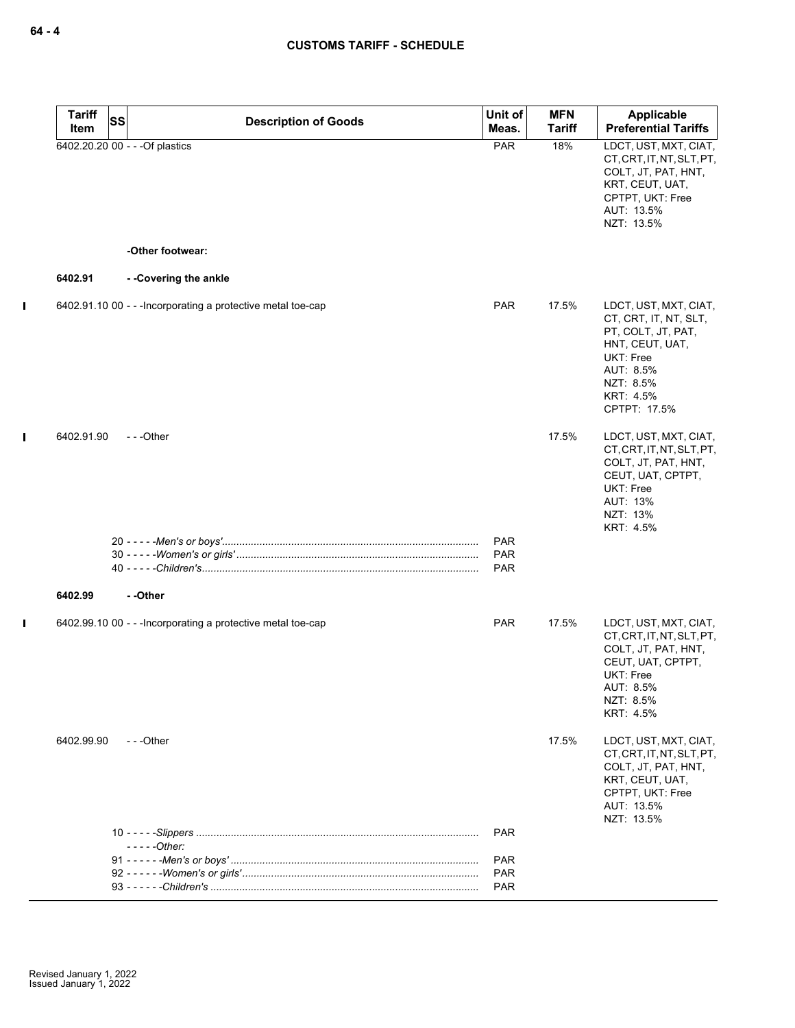| <b>Tariff</b> | <b>SS</b> | <b>Description of Goods</b>                                  | Unit of                                | <b>MFN</b>    | Applicable                                                                                                                                                  |
|---------------|-----------|--------------------------------------------------------------|----------------------------------------|---------------|-------------------------------------------------------------------------------------------------------------------------------------------------------------|
| Item          |           |                                                              | Meas.                                  | <b>Tariff</b> | <b>Preferential Tariffs</b>                                                                                                                                 |
|               |           | 6402.20.20 00 - - - Of plastics                              | <b>PAR</b>                             | 18%           | LDCT, UST, MXT, CIAT,<br>CT, CRT, IT, NT, SLT, PT,<br>COLT, JT, PAT, HNT,<br>KRT, CEUT, UAT,<br>CPTPT, UKT: Free<br>AUT: 13.5%<br>NZT: 13.5%                |
|               |           | -Other footwear:                                             |                                        |               |                                                                                                                                                             |
| 6402.91       |           | --Covering the ankle                                         |                                        |               |                                                                                                                                                             |
|               |           | 6402.91.10 00 - - - Incorporating a protective metal toe-cap | <b>PAR</b>                             | 17.5%         | LDCT, UST, MXT, CIAT,<br>CT, CRT, IT, NT, SLT,<br>PT, COLT, JT, PAT,<br>HNT, CEUT, UAT,<br>UKT: Free<br>AUT: 8.5%<br>NZT: 8.5%<br>KRT: 4.5%<br>CPTPT: 17.5% |
| 6402.91.90    |           | $- -$ Other                                                  |                                        | 17.5%         | LDCT, UST, MXT, CIAT,<br>CT, CRT, IT, NT, SLT, PT,<br>COLT, JT, PAT, HNT,<br>CEUT, UAT, CPTPT,<br>UKT: Free<br>AUT: 13%<br>NZT: 13%<br>KRT: 4.5%            |
|               |           |                                                              | <b>PAR</b><br><b>PAR</b><br><b>PAR</b> |               |                                                                                                                                                             |
| 6402.99       |           | - -Other                                                     |                                        |               |                                                                                                                                                             |
|               |           | 6402.99.10 00 - - - Incorporating a protective metal toe-cap | <b>PAR</b>                             | 17.5%         | LDCT, UST, MXT, CIAT,<br>CT.CRT.IT.NT.SLT.PT.<br>COLT, JT, PAT, HNT,<br>CEUT, UAT, CPTPT,<br><b>UKT: Free</b><br>AUT: 8.5%<br>NZT: 8.5%<br>KRT: 4.5%        |
| 6402.99.90    |           | ---Other                                                     |                                        | 17.5%         | LDCT, UST, MXT, CIAT,<br>CT, CRT, IT, NT, SLT, PT,<br>COLT, JT, PAT, HNT,<br>KRT, CEUT, UAT,<br>CPTPT, UKT: Free<br>AUT: 13.5%<br>NZT: 13.5%                |
|               |           | $--$ - $-$ Other:                                            | <b>PAR</b>                             |               |                                                                                                                                                             |
|               |           |                                                              | <b>PAR</b>                             |               |                                                                                                                                                             |
|               |           |                                                              | <b>PAR</b>                             |               |                                                                                                                                                             |
|               |           |                                                              | <b>PAR</b>                             |               |                                                                                                                                                             |

 $\mathbf I$ 

 $\mathbf{I}$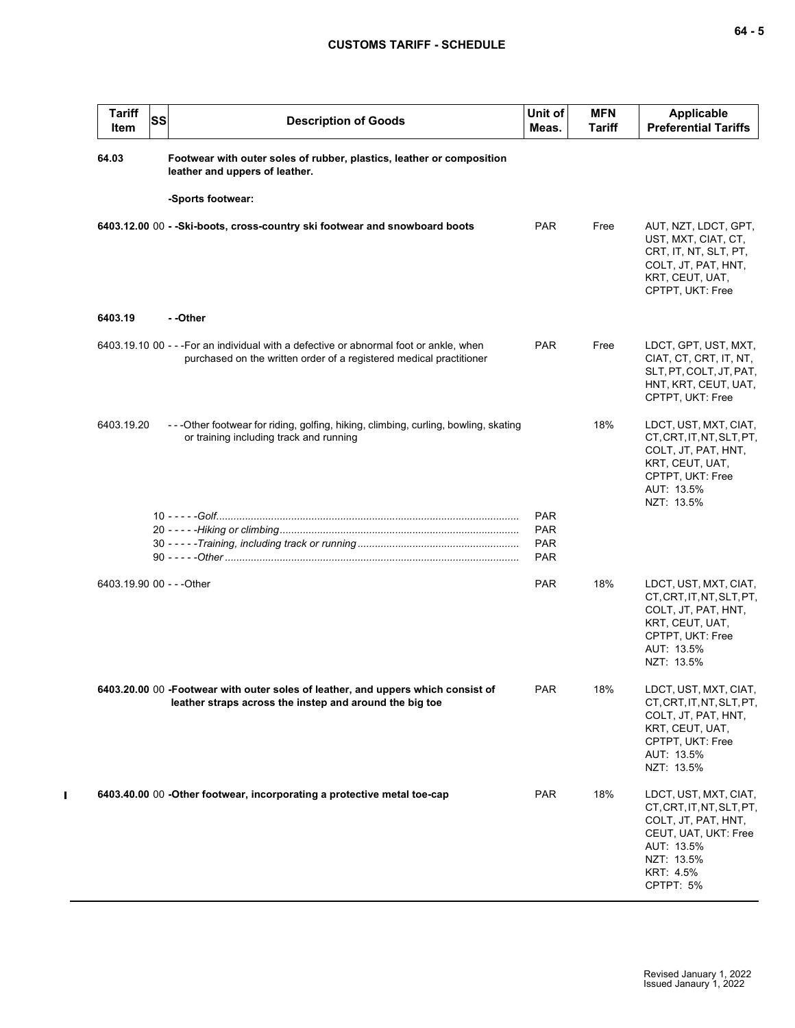| <b>Tariff</b><br><b>SS</b><br>Item | <b>Description of Goods</b>                                                                                                                                   | Unit of<br>Meas.                       | <b>MFN</b><br>Tariff | Applicable<br><b>Preferential Tariffs</b>                                                                                                               |
|------------------------------------|---------------------------------------------------------------------------------------------------------------------------------------------------------------|----------------------------------------|----------------------|---------------------------------------------------------------------------------------------------------------------------------------------------------|
| 64.03                              | Footwear with outer soles of rubber, plastics, leather or composition<br>leather and uppers of leather.                                                       |                                        |                      |                                                                                                                                                         |
|                                    | -Sports footwear:                                                                                                                                             |                                        |                      |                                                                                                                                                         |
|                                    | 6403.12.00 00 - - Ski-boots, cross-country ski footwear and snowboard boots                                                                                   | <b>PAR</b>                             | Free                 | AUT, NZT, LDCT, GPT,<br>UST, MXT, CIAT, CT,<br>CRT, IT, NT, SLT, PT,<br>COLT, JT, PAT, HNT,<br>KRT, CEUT, UAT,<br>CPTPT, UKT: Free                      |
| 6403.19                            | - -Other                                                                                                                                                      |                                        |                      |                                                                                                                                                         |
|                                    | 6403.19.10 00 - - - For an individual with a defective or abnormal foot or ankle, when<br>purchased on the written order of a registered medical practitioner | <b>PAR</b>                             | Free                 | LDCT, GPT, UST, MXT,<br>CIAT, CT, CRT, IT, NT,<br>SLT, PT, COLT, JT, PAT,<br>HNT, KRT, CEUT, UAT,<br>CPTPT, UKT: Free                                   |
| 6403.19.20                         | -- - Other footwear for riding, golfing, hiking, climbing, curling, bowling, skating<br>or training including track and running                               |                                        | 18%                  | LDCT, UST, MXT, CIAT,<br>CT, CRT, IT, NT, SLT, PT,<br>COLT, JT, PAT, HNT,<br>KRT, CEUT, UAT,<br>CPTPT, UKT: Free<br>AUT: 13.5%<br>NZT: 13.5%            |
|                                    |                                                                                                                                                               | <b>PAR</b>                             |                      |                                                                                                                                                         |
|                                    |                                                                                                                                                               | <b>PAR</b><br><b>PAR</b><br><b>PAR</b> |                      |                                                                                                                                                         |
| 6403.19.90 00 - - - Other          |                                                                                                                                                               | <b>PAR</b>                             | 18%                  | LDCT, UST, MXT, CIAT,<br>CT, CRT, IT, NT, SLT, PT,<br>COLT, JT, PAT, HNT,<br>KRT, CEUT, UAT,<br>CPTPT, UKT: Free<br>AUT: 13.5%<br>NZT: 13.5%            |
|                                    | 6403.20.00 00 -Footwear with outer soles of leather, and uppers which consist of                                                                              | <b>PAR</b>                             | 18%                  | LDCT, UST, MXT, CIAT,                                                                                                                                   |
|                                    | leather straps across the instep and around the big toe                                                                                                       |                                        |                      | CT, CRT, IT, NT, SLT, PT,<br>COLT, JT, PAT, HNT,<br>KRT, CEUT, UAT,<br>CPTPT, UKT: Free<br>AUT: 13.5%<br>NZT: 13.5%                                     |
|                                    | 6403.40.00 00 -Other footwear, incorporating a protective metal toe-cap                                                                                       | <b>PAR</b>                             | 18%                  | LDCT, UST, MXT, CIAT,<br>CT, CRT, IT, NT, SLT, PT,<br>COLT, JT, PAT, HNT,<br>CEUT, UAT, UKT: Free<br>AUT: 13.5%<br>NZT: 13.5%<br>KRT: 4.5%<br>CPTPT: 5% |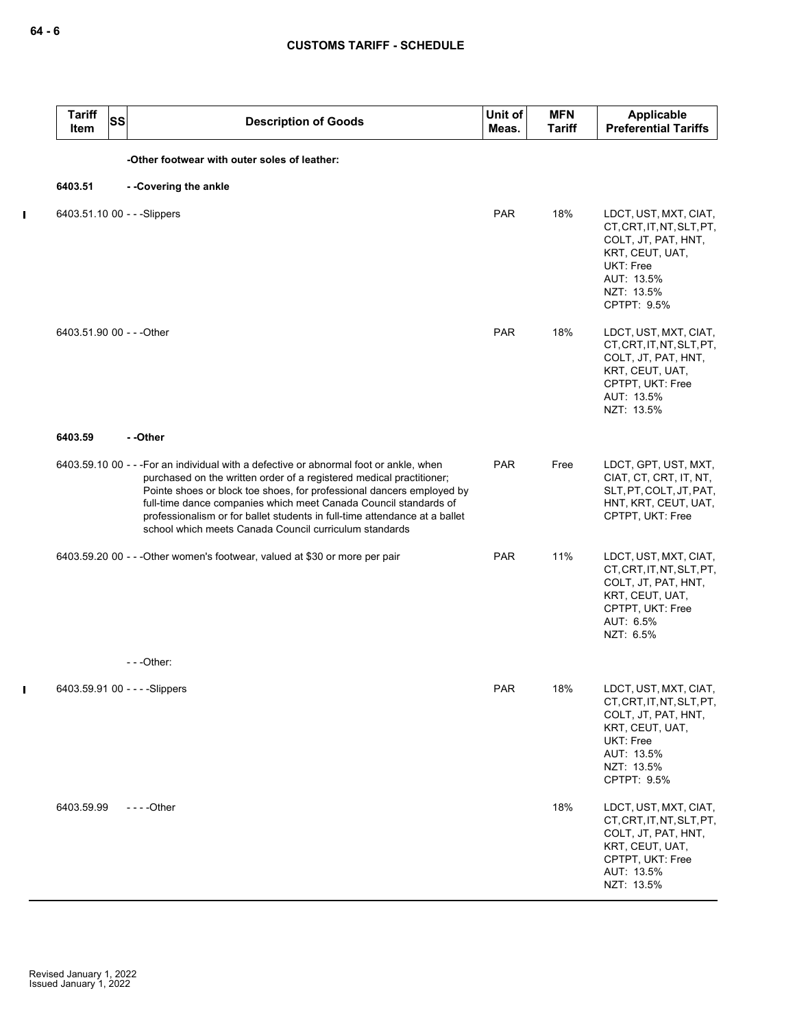$\mathbf{l}$ 

 $\mathbf I$ 

| <b>Tariff</b><br>Item     | <b>SS</b> | <b>Description of Goods</b>                                                                                                                                                                                                                                                                                                                                                                                                                        | Unit of<br>Meas. | <b>MFN</b><br>Tariff | Applicable<br><b>Preferential Tariffs</b>                                                                                                            |
|---------------------------|-----------|----------------------------------------------------------------------------------------------------------------------------------------------------------------------------------------------------------------------------------------------------------------------------------------------------------------------------------------------------------------------------------------------------------------------------------------------------|------------------|----------------------|------------------------------------------------------------------------------------------------------------------------------------------------------|
|                           |           | -Other footwear with outer soles of leather:                                                                                                                                                                                                                                                                                                                                                                                                       |                  |                      |                                                                                                                                                      |
| 6403.51                   |           | --Covering the ankle                                                                                                                                                                                                                                                                                                                                                                                                                               |                  |                      |                                                                                                                                                      |
|                           |           | 6403.51.10 00 - - - Slippers                                                                                                                                                                                                                                                                                                                                                                                                                       | <b>PAR</b>       | 18%                  | LDCT, UST, MXT, CIAT,<br>CT, CRT, IT, NT, SLT, PT,<br>COLT, JT, PAT, HNT,<br>KRT, CEUT, UAT,<br>UKT: Free<br>AUT: 13.5%<br>NZT: 13.5%<br>CPTPT: 9.5% |
| 6403.51.90 00 - - - Other |           |                                                                                                                                                                                                                                                                                                                                                                                                                                                    | <b>PAR</b>       | 18%                  | LDCT, UST, MXT, CIAT,<br>CT, CRT, IT, NT, SLT, PT,<br>COLT, JT, PAT, HNT,<br>KRT, CEUT, UAT,<br>CPTPT, UKT: Free<br>AUT: 13.5%<br>NZT: 13.5%         |
| 6403.59                   |           | - -Other                                                                                                                                                                                                                                                                                                                                                                                                                                           |                  |                      |                                                                                                                                                      |
|                           |           | 6403.59.10 00 - - -For an individual with a defective or abnormal foot or ankle, when<br>purchased on the written order of a registered medical practitioner;<br>Pointe shoes or block toe shoes, for professional dancers employed by<br>full-time dance companies which meet Canada Council standards of<br>professionalism or for ballet students in full-time attendance at a ballet<br>school which meets Canada Council curriculum standards | <b>PAR</b>       | Free                 | LDCT, GPT, UST, MXT,<br>CIAT, CT, CRT, IT, NT,<br>SLT, PT, COLT, JT, PAT,<br>HNT, KRT, CEUT, UAT,<br>CPTPT, UKT: Free                                |
|                           |           | 6403.59.20 00 - - - Other women's footwear, valued at \$30 or more per pair                                                                                                                                                                                                                                                                                                                                                                        | <b>PAR</b>       | 11%                  | LDCT, UST, MXT, CIAT,<br>CT, CRT, IT, NT, SLT, PT,<br>COLT, JT, PAT, HNT,<br>KRT, CEUT, UAT,<br>CPTPT, UKT: Free<br>AUT: 6.5%<br>NZT: 6.5%           |
|                           |           | $--$ Other:                                                                                                                                                                                                                                                                                                                                                                                                                                        |                  |                      |                                                                                                                                                      |
|                           |           | 6403.59.91 00 - - - - Slippers                                                                                                                                                                                                                                                                                                                                                                                                                     | <b>PAR</b>       | 18%                  | LDCT, UST, MXT, CIAT,<br>CT, CRT, IT, NT, SLT, PT,<br>COLT, JT, PAT, HNT,<br>KRT, CEUT, UAT,<br>UKT: Free<br>AUT: 13.5%<br>NZT: 13.5%<br>CPTPT: 9.5% |
| 6403.59.99                |           | - - - - Other                                                                                                                                                                                                                                                                                                                                                                                                                                      |                  | 18%                  | LDCT, UST, MXT, CIAT,<br>CT, CRT, IT, NT, SLT, PT,<br>COLT, JT, PAT, HNT,<br>KRT, CEUT, UAT,<br>CPTPT, UKT: Free<br>AUT: 13.5%<br>NZT: 13.5%         |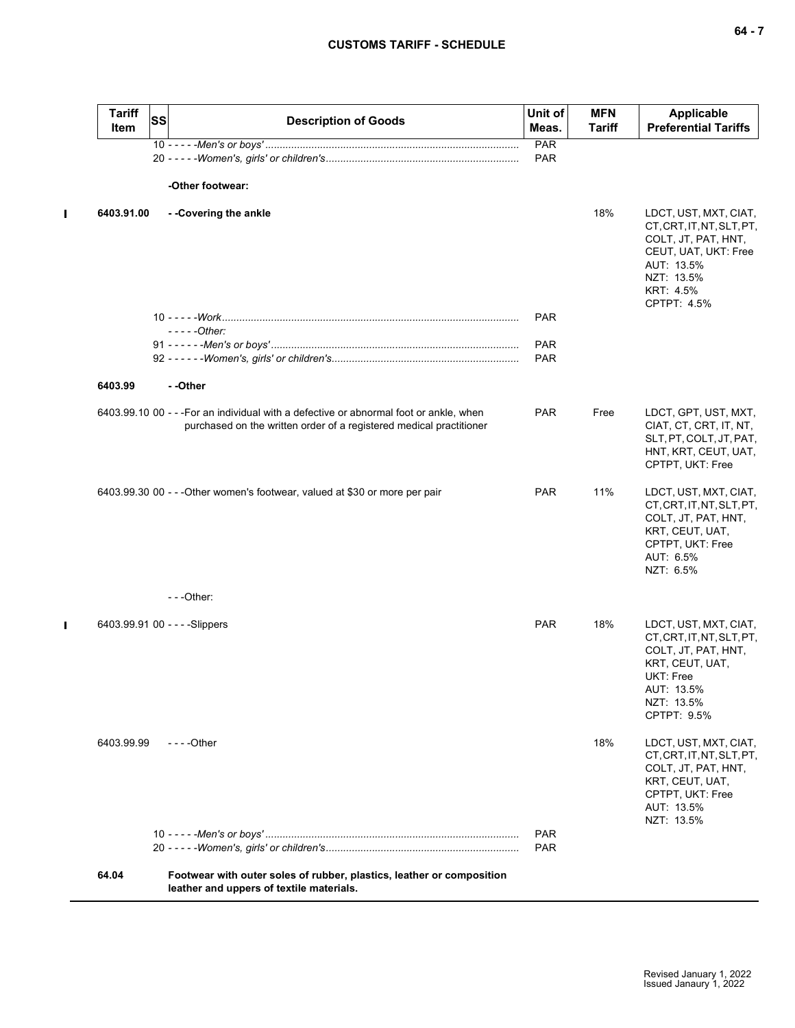$\blacksquare$ 

 $\blacksquare$ 

| <b>Tariff</b><br>Item | <b>SS</b> | <b>Description of Goods</b>                                                                                                                                   | Unit of<br>Meas.         | <b>MFN</b><br><b>Tariff</b> | Applicable<br><b>Preferential Tariffs</b>                                                                                                                 |
|-----------------------|-----------|---------------------------------------------------------------------------------------------------------------------------------------------------------------|--------------------------|-----------------------------|-----------------------------------------------------------------------------------------------------------------------------------------------------------|
|                       |           |                                                                                                                                                               | PAR                      |                             |                                                                                                                                                           |
|                       |           |                                                                                                                                                               | <b>PAR</b>               |                             |                                                                                                                                                           |
|                       |           | -Other footwear:                                                                                                                                              |                          |                             |                                                                                                                                                           |
| 6403.91.00            |           | --Covering the ankle                                                                                                                                          |                          | 18%                         | LDCT, UST, MXT, CIAT,<br>CT, CRT, IT, NT, SLT, PT,<br>COLT, JT, PAT, HNT,<br>CEUT, UAT, UKT: Free<br>AUT: 13.5%<br>NZT: 13.5%<br>KRT: 4.5%<br>CPTPT: 4.5% |
|                       |           |                                                                                                                                                               | <b>PAR</b>               |                             |                                                                                                                                                           |
|                       |           | $---Other:$                                                                                                                                                   |                          |                             |                                                                                                                                                           |
|                       |           |                                                                                                                                                               | <b>PAR</b><br><b>PAR</b> |                             |                                                                                                                                                           |
|                       |           |                                                                                                                                                               |                          |                             |                                                                                                                                                           |
| 6403.99               |           | - -Other                                                                                                                                                      |                          |                             |                                                                                                                                                           |
|                       |           | 6403.99.10 00 - - - For an individual with a defective or abnormal foot or ankle, when<br>purchased on the written order of a registered medical practitioner | <b>PAR</b>               | Free                        | LDCT, GPT, UST, MXT,<br>CIAT, CT, CRT, IT, NT,<br>SLT, PT, COLT, JT, PAT,<br>HNT, KRT, CEUT, UAT,<br>CPTPT, UKT: Free                                     |
|                       |           | 6403.99.30 00 - - - Other women's footwear, valued at \$30 or more per pair                                                                                   | <b>PAR</b>               | 11%                         | LDCT, UST, MXT, CIAT,<br>CT, CRT, IT, NT, SLT, PT,<br>COLT, JT, PAT, HNT,<br>KRT, CEUT, UAT,<br>CPTPT, UKT: Free<br>AUT: 6.5%<br>NZT: 6.5%                |
|                       |           | ---Other:                                                                                                                                                     |                          |                             |                                                                                                                                                           |
|                       |           | 6403.99.91 00 - - - - Slippers                                                                                                                                | <b>PAR</b>               | 18%                         | LDCT, UST, MXT, CIAT,<br>CT, CRT, IT, NT, SLT, PT,<br>COLT, JT, PAT, HNT,<br>KRT, CEUT, UAT,<br>UKT: Free<br>AUT: 13.5%<br>NZT: 13.5%<br>CPTPT: 9.5%      |
| 6403.99.99            |           | $- - -$ Other                                                                                                                                                 |                          | 18%                         | LDCT, UST, MXT, CIAT,<br>CT, CRT, IT, NT, SLT, PT,<br>COLT, JT, PAT, HNT,<br>KRT, CEUT, UAT,<br>CPTPT, UKT: Free<br>AUT: 13.5%<br>NZT: 13.5%              |
|                       |           |                                                                                                                                                               | <b>PAR</b><br><b>PAR</b> |                             |                                                                                                                                                           |
| 64.04                 |           | Footwear with outer soles of rubber, plastics, leather or composition<br>leather and uppers of textile materials.                                             |                          |                             |                                                                                                                                                           |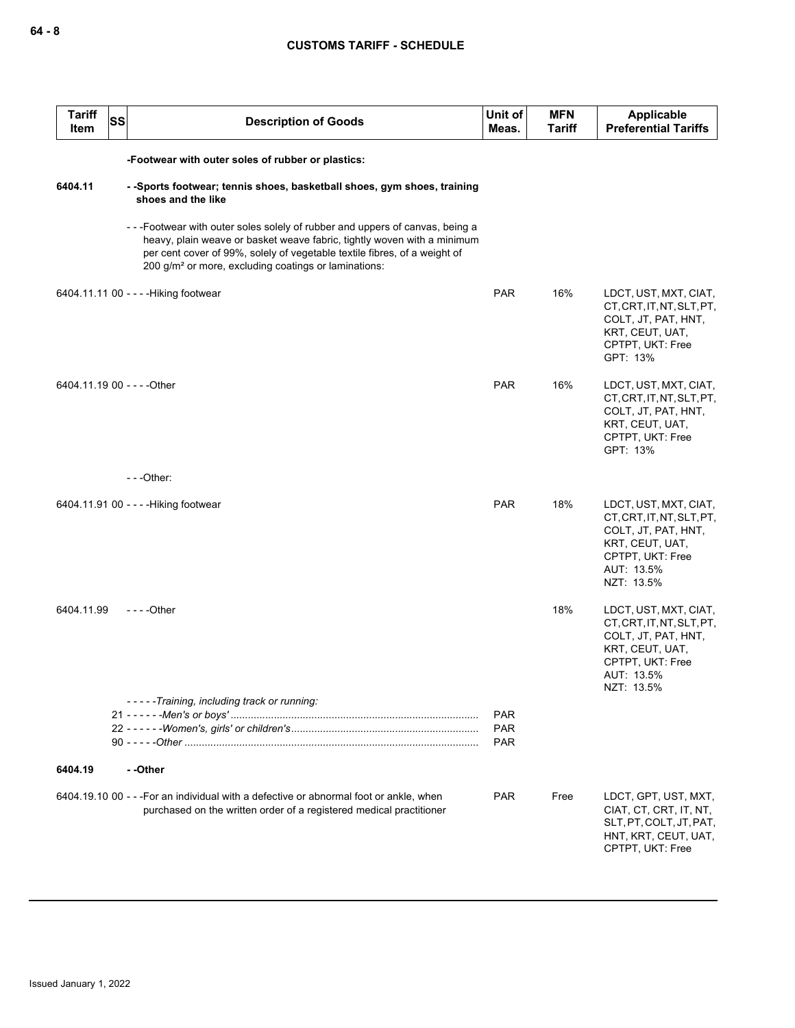| <b>Tariff</b><br>Item       | SS                                                | <b>Description of Goods</b>                                                                                                                                                                                                                                                                             | Unit of<br>Meas.                       | <b>MFN</b><br>Tariff | <b>Applicable</b><br><b>Preferential Tariffs</b>                                                                                             |  |  |  |  |  |
|-----------------------------|---------------------------------------------------|---------------------------------------------------------------------------------------------------------------------------------------------------------------------------------------------------------------------------------------------------------------------------------------------------------|----------------------------------------|----------------------|----------------------------------------------------------------------------------------------------------------------------------------------|--|--|--|--|--|
|                             | -Footwear with outer soles of rubber or plastics: |                                                                                                                                                                                                                                                                                                         |                                        |                      |                                                                                                                                              |  |  |  |  |  |
| 6404.11                     |                                                   | --Sports footwear; tennis shoes, basketball shoes, gym shoes, training<br>shoes and the like                                                                                                                                                                                                            |                                        |                      |                                                                                                                                              |  |  |  |  |  |
|                             |                                                   | ---Footwear with outer soles solely of rubber and uppers of canvas, being a<br>heavy, plain weave or basket weave fabric, tightly woven with a minimum<br>per cent cover of 99%, solely of vegetable textile fibres, of a weight of<br>200 g/m <sup>2</sup> or more, excluding coatings or laminations: |                                        |                      |                                                                                                                                              |  |  |  |  |  |
|                             |                                                   | 6404.11.11 00 - - - - Hiking footwear                                                                                                                                                                                                                                                                   | <b>PAR</b>                             | 16%                  | LDCT, UST, MXT, CIAT,<br>CT, CRT, IT, NT, SLT, PT,<br>COLT, JT, PAT, HNT,<br>KRT, CEUT, UAT,<br>CPTPT, UKT: Free<br>GPT: 13%                 |  |  |  |  |  |
| 6404.11.19 00 - - - - Other |                                                   |                                                                                                                                                                                                                                                                                                         | PAR                                    | 16%                  | LDCT, UST, MXT, CIAT,<br>CT, CRT, IT, NT, SLT, PT,<br>COLT, JT, PAT, HNT,<br>KRT, CEUT, UAT,<br>CPTPT, UKT: Free<br>GPT: 13%                 |  |  |  |  |  |
|                             |                                                   | $- -$ Other:                                                                                                                                                                                                                                                                                            |                                        |                      |                                                                                                                                              |  |  |  |  |  |
|                             |                                                   | 6404.11.91 00 - - - - Hiking footwear                                                                                                                                                                                                                                                                   | <b>PAR</b>                             | 18%                  | LDCT, UST, MXT, CIAT,<br>CT, CRT, IT, NT, SLT, PT,<br>COLT, JT, PAT, HNT,<br>KRT, CEUT, UAT,<br>CPTPT, UKT: Free<br>AUT: 13.5%<br>NZT: 13.5% |  |  |  |  |  |
| 6404.11.99                  |                                                   | $--$ Other                                                                                                                                                                                                                                                                                              |                                        | 18%                  | LDCT, UST, MXT, CIAT,<br>CT, CRT, IT, NT, SLT, PT,<br>COLT, JT, PAT, HNT,<br>KRT, CEUT, UAT,<br>CPTPT, UKT: Free<br>AUT: 13.5%<br>NZT: 13.5% |  |  |  |  |  |
|                             |                                                   | -----Training, including track or running:                                                                                                                                                                                                                                                              | <b>PAR</b><br><b>PAR</b><br><b>PAR</b> |                      |                                                                                                                                              |  |  |  |  |  |
| 6404.19                     |                                                   | --Other                                                                                                                                                                                                                                                                                                 |                                        |                      |                                                                                                                                              |  |  |  |  |  |
|                             |                                                   | 6404.19.10 00 - - - For an individual with a defective or abnormal foot or ankle, when<br>purchased on the written order of a registered medical practitioner                                                                                                                                           | <b>PAR</b>                             | Free                 | LDCT, GPT, UST, MXT,<br>CIAT, CT, CRT, IT, NT,<br>SLT, PT, COLT, JT, PAT,<br>HNT, KRT, CEUT, UAT,<br>CPTPT, UKT: Free                        |  |  |  |  |  |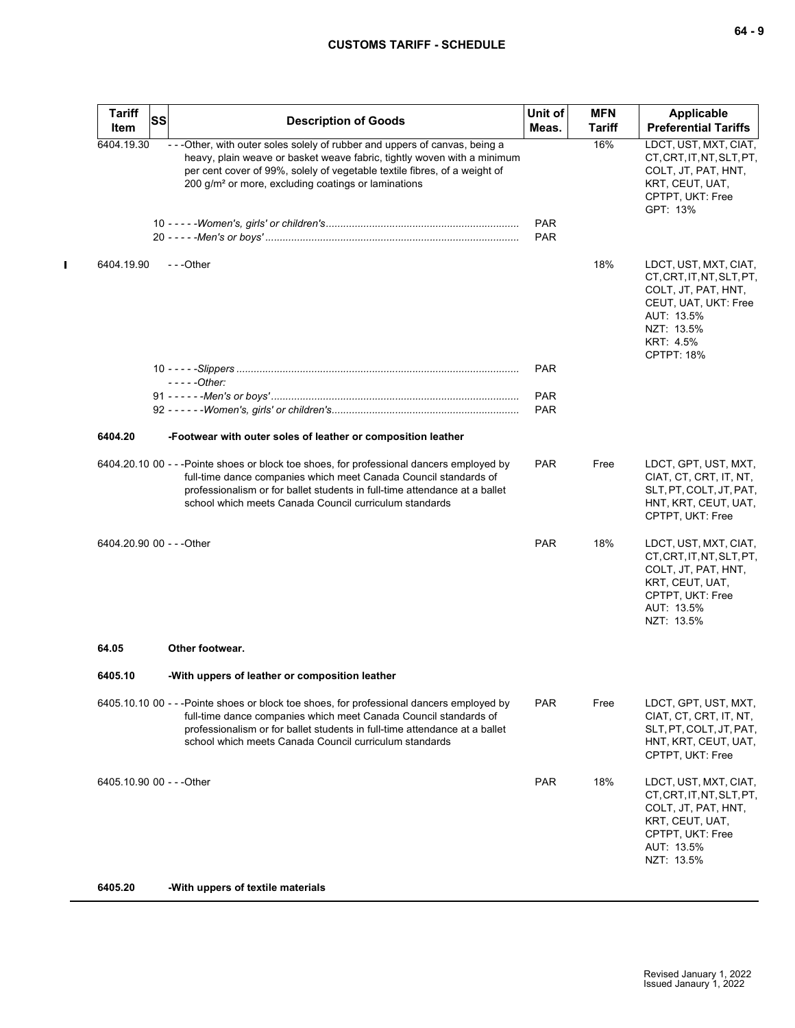## **CUSTOMS TARIFF - SCHEDULE**

| <b>Tariff</b><br>ltem     | <b>SS</b> | <b>Description of Goods</b>                                                                                                                                                                                                                                                                             | Unit of<br>Meas.         | <b>MFN</b><br>Tariff | <b>Applicable</b><br><b>Preferential Tariffs</b>                                                                                                                |
|---------------------------|-----------|---------------------------------------------------------------------------------------------------------------------------------------------------------------------------------------------------------------------------------------------------------------------------------------------------------|--------------------------|----------------------|-----------------------------------------------------------------------------------------------------------------------------------------------------------------|
| 6404.19.30                |           | - - - Other, with outer soles solely of rubber and uppers of canvas, being a<br>heavy, plain weave or basket weave fabric, tightly woven with a minimum<br>per cent cover of 99%, solely of vegetable textile fibres, of a weight of<br>200 g/m <sup>2</sup> or more, excluding coatings or laminations |                          | 16%                  | LDCT, UST, MXT, CIAT,<br>CT, CRT, IT, NT, SLT, PT,<br>COLT, JT, PAT, HNT,<br>KRT, CEUT, UAT,<br>CPTPT, UKT: Free<br>GPT: 13%                                    |
|                           |           |                                                                                                                                                                                                                                                                                                         | <b>PAR</b><br><b>PAR</b> |                      |                                                                                                                                                                 |
| 6404.19.90                |           | $- -$ Other                                                                                                                                                                                                                                                                                             |                          | 18%                  | LDCT, UST, MXT, CIAT,<br>CT, CRT, IT, NT, SLT, PT,<br>COLT, JT, PAT, HNT,<br>CEUT, UAT, UKT: Free<br>AUT: 13.5%<br>NZT: 13.5%<br>KRT: 4.5%<br><b>CPTPT: 18%</b> |
|                           |           | $---Other$                                                                                                                                                                                                                                                                                              | <b>PAR</b>               |                      |                                                                                                                                                                 |
|                           |           |                                                                                                                                                                                                                                                                                                         | <b>PAR</b>               |                      |                                                                                                                                                                 |
|                           |           |                                                                                                                                                                                                                                                                                                         | <b>PAR</b>               |                      |                                                                                                                                                                 |
| 6404.20                   |           | -Footwear with outer soles of leather or composition leather                                                                                                                                                                                                                                            |                          |                      |                                                                                                                                                                 |
|                           |           | 6404.20.10 00 - - -Pointe shoes or block toe shoes, for professional dancers employed by<br>full-time dance companies which meet Canada Council standards of<br>professionalism or for ballet students in full-time attendance at a ballet<br>school which meets Canada Council curriculum standards    | <b>PAR</b>               | Free                 | LDCT, GPT, UST, MXT,<br>CIAT, CT, CRT, IT, NT,<br>SLT, PT, COLT, JT, PAT,<br>HNT, KRT, CEUT, UAT,<br>CPTPT, UKT: Free                                           |
| 6404.20.90 00 - - - Other |           |                                                                                                                                                                                                                                                                                                         | <b>PAR</b>               | 18%                  | LDCT, UST, MXT, CIAT,<br>CT, CRT, IT, NT, SLT, PT,<br>COLT, JT, PAT, HNT,<br>KRT, CEUT, UAT,<br>CPTPT, UKT: Free<br>AUT: 13.5%<br>NZT: 13.5%                    |
| 64.05                     |           | Other footwear.                                                                                                                                                                                                                                                                                         |                          |                      |                                                                                                                                                                 |
| 6405.10                   |           | -With uppers of leather or composition leather                                                                                                                                                                                                                                                          |                          |                      |                                                                                                                                                                 |
|                           |           | 6405.10.10 00 - - - Pointe shoes or block toe shoes, for professional dancers employed by<br>full-time dance companies which meet Canada Council standards of<br>professionalism or for ballet students in full-time attendance at a ballet<br>school which meets Canada Council curriculum standards   | <b>PAR</b>               | Free                 | LDCT, GPT, UST, MXT,<br>CIAT, CT, CRT, IT, NT,<br>SLT, PT, COLT, JT, PAT,<br>HNT, KRT, CEUT, UAT,<br>CPTPT, UKT: Free                                           |
| 6405.10.90 00 - - - Other |           |                                                                                                                                                                                                                                                                                                         | <b>PAR</b>               | 18%                  | LDCT, UST, MXT, CIAT,<br>CT, CRT, IT, NT, SLT, PT,<br>COLT, JT, PAT, HNT,<br>KRT, CEUT, UAT,<br>CPTPT, UKT: Free<br>AUT: 13.5%<br>NZT: 13.5%                    |

**6405.20 -With uppers of textile materials**

 $\blacksquare$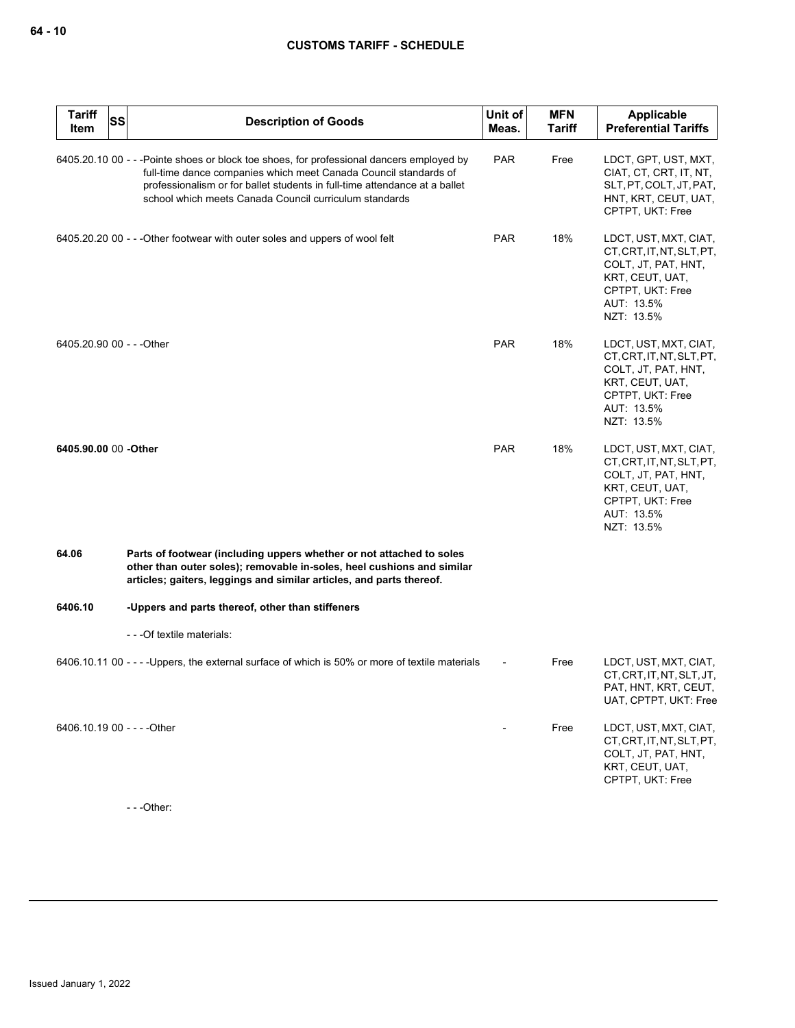| <b>Tariff</b><br><b>SS</b><br>Item | <b>Description of Goods</b>                                                                                                                                                                                                                                                                          | Unit of<br>Meas. | <b>MFN</b><br><b>Tariff</b> | <b>Applicable</b><br><b>Preferential Tariffs</b>                                                                                             |
|------------------------------------|------------------------------------------------------------------------------------------------------------------------------------------------------------------------------------------------------------------------------------------------------------------------------------------------------|------------------|-----------------------------|----------------------------------------------------------------------------------------------------------------------------------------------|
|                                    | 6405.20.10 00 - - -Pointe shoes or block toe shoes, for professional dancers employed by<br>full-time dance companies which meet Canada Council standards of<br>professionalism or for ballet students in full-time attendance at a ballet<br>school which meets Canada Council curriculum standards | <b>PAR</b>       | Free                        | LDCT, GPT, UST, MXT,<br>CIAT, CT, CRT, IT, NT,<br>SLT, PT, COLT, JT, PAT,<br>HNT, KRT, CEUT, UAT,<br>CPTPT, UKT: Free                        |
|                                    | 6405.20.20 00 - - - Other footwear with outer soles and uppers of wool felt                                                                                                                                                                                                                          | <b>PAR</b>       | 18%                         | LDCT, UST, MXT, CIAT,<br>CT, CRT, IT, NT, SLT, PT,<br>COLT, JT, PAT, HNT,<br>KRT, CEUT, UAT,<br>CPTPT, UKT: Free<br>AUT: 13.5%<br>NZT: 13.5% |
| 6405.20.90 00 - - - Other          |                                                                                                                                                                                                                                                                                                      | <b>PAR</b>       | 18%                         | LDCT, UST, MXT, CIAT,<br>CT, CRT, IT, NT, SLT, PT,<br>COLT, JT, PAT, HNT,<br>KRT, CEUT, UAT,<br>CPTPT, UKT: Free<br>AUT: 13.5%<br>NZT: 13.5% |
| 6405.90.00 00 -Other               |                                                                                                                                                                                                                                                                                                      | <b>PAR</b>       | 18%                         | LDCT, UST, MXT, CIAT,<br>CT, CRT, IT, NT, SLT, PT,<br>COLT, JT, PAT, HNT,<br>KRT, CEUT, UAT,<br>CPTPT, UKT: Free<br>AUT: 13.5%<br>NZT: 13.5% |
| 64.06                              | Parts of footwear (including uppers whether or not attached to soles<br>other than outer soles); removable in-soles, heel cushions and similar<br>articles; gaiters, leggings and similar articles, and parts thereof.                                                                               |                  |                             |                                                                                                                                              |
| 6406.10                            | -Uppers and parts thereof, other than stiffeners                                                                                                                                                                                                                                                     |                  |                             |                                                                                                                                              |
|                                    | - - - Of textile materials:                                                                                                                                                                                                                                                                          |                  |                             |                                                                                                                                              |
|                                    | 6406.10.11 00 - - - - Uppers, the external surface of which is 50% or more of textile materials                                                                                                                                                                                                      |                  | Free                        | LDCT, UST, MXT, CIAT,<br>CT, CRT, IT, NT, SLT, JT,<br>PAT, HNT, KRT, CEUT,<br>UAT, CPTPT, UKT: Free                                          |
| 6406.10.19 00 - - - - Other        |                                                                                                                                                                                                                                                                                                      |                  | Free                        | LDCT, UST, MXT, CIAT,<br>CT, CRT, IT, NT, SLT, PT,<br>COLT, JT, PAT, HNT,<br>KRT, CEUT, UAT,<br>CPTPT, UKT: Free                             |

- - -Other: